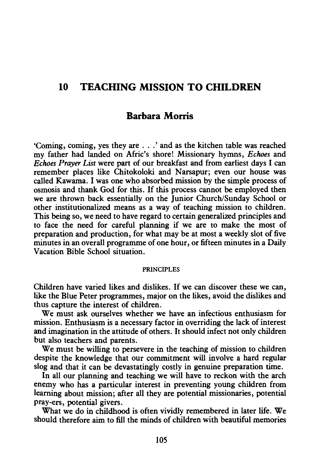# **10 TEACHING MISSION TO CHILDREN**

# **Barbara Morris**

'Coming, coming, yes they are . . . ' and as the kitchen table was reached my father had landed on Afric's shore! Missionary hymns, *Echoes* and *Echoes Prayer List* were part of our breakfast and from earliest days I can remember places like Chitokoloki and Narsapur; even our house was called Kawama. I was one who absorbed mission by the simple process of osmosis and thank God for this. If this process cannot be employed then we are thrown back essentially on the Junior Church/Sunday School or other institutionalized means as a way of teaching mission to children. This being so, we need to have regard to certain generalized principles and to face the need for careful planning if we are to make the most of preparation and production, for what may be at most a weekly slot of five minutes in an overall programme of one hour, or fifteen minutes in a Daily Vacation Bible School situation.

#### PRINCIPLES

Children have varied likes and dislikes. If we can discover these we can, like the Blue Peter programmes, major on the likes, avoid the dislikes and thus capture the interest of children.

We must ask ourselves whether we have an infectious enthusiasm for mission. Enthusiasm is a necessary factor in overriding the lack of interest and imagination in the attitude of others. It should infect not only children but also teachers and parents.

We must be willing to persevere in the teaching of mission to children despite the knowledge that our commitment will involve a hard regular slog and that it can be devastatingly costly in genuine preparation time.

In all our planning and teaching we will have to reckon with the arch enemy who has a particular interest in preventing young children from learning about mission; after all they are potential missionaries, potential pray-ers, potential givers.

What we do in childhood is often vividly remembered in later life. We should therefore aim to fill the minds of children with beautiful memories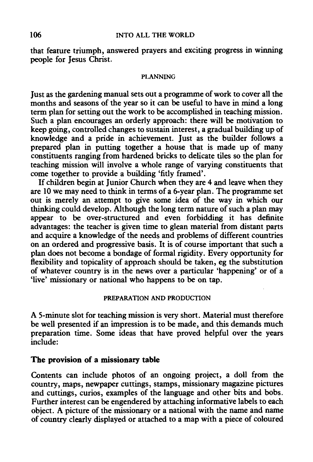that feature triumph, answered prayers and exciting progress in winning people for Jesus Christ.

#### PLANNING

Just as the gardening manual sets out a programme of work to cover all the months and seasons of the year so it can be useful to have in mind a long term plan for setting out the work to be accomplished in teaching mission. Such a plan encourages an orderly approach: there will be motivation to keep going, controlled changes to sustain interest, a gradual building up of knowledge and a pride in achievement. Just as the builder follows a prepared plan in putting together a house that is made up of many constituents ranging from hardened bricks to delicate tiles so the plan for teaching mission will involve a whole range of varying constituents that come together to provide a building 'fitly framed'.

If children begin at Junior Church when they are 4 and leave when they are 10 we may need to think in terms of a 6-year plan. The programme set out is merely an attempt to give some idea of the way in which our thinking could develop. Although the long term nature of such a plan may appear to be over-structured and even forbidding it has definite advantages: the teacher is given time to glean material from distant parts and acquire a knowledge of the needs and problems of different countries on an ordered and progressive basis. It is of course important that such a plan does not become a bondage of formal rigidity. Every opportunity for flexibility and topicality of approach should be taken, eg the substitution of whatever country is in the news over a particular 'happening' or of a 'live' missionary or national who happens to be on tap.

#### PREPARATION AND PRODUCTION

A 5-minute slot for teaching mission is very short. Material must therefore be well presented if an impression is to be made, and this demands much preparation time. Some ideas that have proved helpful over the years include:

#### The provision of a missionary table

Contents can include photos of an ongoing project, a doll from the country, maps, newpaper cuttings, stamps, missionary magazine pictures and cuttings, curios, examples of the language and other bits and bobs. Further interest can be engendered by attaching informative labels to each object. A picture of the missionary or a national with the name and name of country clearly displayed or attached to a map with a piece of coloured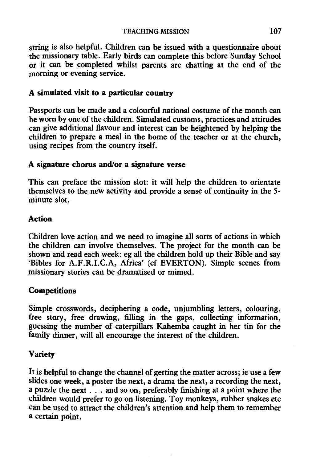string is also helpful. Children can be issued with a questionnaire about the missionary table. Early birds can complete this before Sunday School or it can be completed whilst parents are chatting at the end of the morning or evening service.

### A simulated visit to a particular country

Passports can be made and a colourful national costume of the month can be worn by one of the children. Simulated customs, practices and attitudes can give additional flavour and interest can be heightened by helping the children to prepare a meal in the home of the teacher or at the church, using recipes from the country itself.

### A signature chorus and/or a signature verse

This can preface the mission slot: it will help the children to orientate themselves to the new activity and provide a sense of continuity in the 5 minute slot.

## Action

Children love action and we need to imagine all sorts of actions in which the children can involve themselves. The project for the month can be shown and read each week: eg all the children hold up their Bible and say 'Bibles for A.F.R.I.C.A, Africa' (cf EVERTON). Simple scenes from missionary stories can be dramatised or mimed.

## **Competitions**

Simple crosswords, deciphering a code, unjumbling letters, colouring, free story, free drawing, filling in the gaps, collecting information, guessing the number of caterpillars Kahemba caught in her tin for the family dinner, will all encourage the interest of the children.

## Variety

It is helpful to change the channel of getting the matter across; ie use a few slides one week, a poster the next, a drama the next, a recording the next, a puzzle the next ... and so on, preferably finishing at a point where the children would prefer to go on listening. Toy monkeys, rubber snakes etc can be used to attract the children's attention and help them to remember a certain point.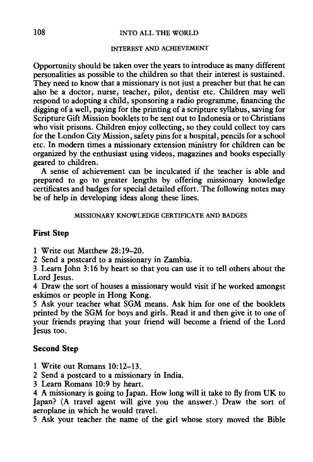#### 108 INTO ALL THE WORLD

#### INTEREST AND ACHIEVEMENT

Opportunity should be taken over the years to introduce as many different personalities as possible to the children so that their interest is sustained. They need to know that a missionary is not just a preacher but that he can also be a doctor, nurse, teacher, pilot, dentist etc. Children may well respond to adopting a child, sponsoring a radio programme, financing the digging of a well, paying for the printing of a scripture syllabus, saving for Scripture Gift Mission booklets to be sent out to Indonesia or to Christians who visit prisons. Children enjoy collecting, so they could collect toy cars for the London City Mission, safety pins for a hospital, pencils for a school etc. In modem times a missionary extension ministry for children can be organized by the enthusiast using videos, magazines and books especially geared to children.

A sense of achievement can be inculcated if the teacher is able and prepared to go to greater lengths by offering missionary knowledge certificates and badges for special detailed effort. The following notes may be of help in developing ideas along these lines.

MISSIONARY KNOWLEDGE CERTIFICATE AND BADGES

#### **First Step**

1 Write out Matthew 28:19-20.

2 Send a postcard to a missionary in Zambia.

3 Learn John 3:16 by heart so that you can use it to tell others about the Lord Iesus.

4 Draw the sort of houses a missionary would visit if he worked amongst eskimos or people in Hong Kong.

5 Ask your teacher what SGM means. Ask him for one of the booklets printed by the SGM for boys and girls. Read it and then give it to one of your friends praying that your friend will become a friend of the Lord Jesus too.

#### **Second Step**

- 1 Write out Romans 10:12-13.
- 2 Send a postcard to a missionary in India.
- 3 Learn Romans 10:9 by heart.

4 A missionary is going to Japan. How long will it take to fly from UK to Japan? (A travel agent will give you the answer.) Draw the sort of aeroplane in which he would travel.

5 Ask your teacher the name of the girl whose story moved the Bible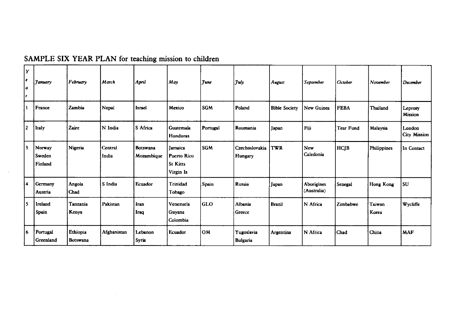| Y<br>l e<br>l a<br>l r | Tanuary                     | February             | March            | April                  | May                                                    | <b>Tune</b> | July                      | August               | September                 | October     | November           | December                      |
|------------------------|-----------------------------|----------------------|------------------|------------------------|--------------------------------------------------------|-------------|---------------------------|----------------------|---------------------------|-------------|--------------------|-------------------------------|
| -1                     | France                      | Zambia               | Nepal            | Israel                 | Mexico                                                 | <b>SGM</b>  | Poland                    | <b>Bible Society</b> | New Guinea                | <b>FEBA</b> | Thailand           | Leprosy<br><b>Mission</b>     |
| 12                     | litaly                      | Zaire                | N India          | S Africa               | Guatemala<br>Honduras                                  | Portugal    | Roumania                  | Japan                | Fiji                      | Tear Fund   | Malaysia           | London<br><b>City Mission</b> |
| 3                      | Norway<br>Sweden<br>Finland | Nigeria              | Central<br>India | Botswana<br>Mozambique | Jamaica<br>Puerto Rico<br><b>St Kitts</b><br>Virgin Is | <b>SGM</b>  | Czechoslovakia<br>Hungary | TWR                  | New<br>Caledonia          | HCJB        | <b>Philippines</b> | In Contact                    |
| 14                     | Germany<br>Austria          | Angola<br>Chad       | S India          | Ecuador                | Trinidad<br>Tobago                                     | Spain       | Russia                    | Japan                | Aborigines<br>(Australia) | Senegal     | Hong Kong          | SU                            |
| l s                    | Ireland<br><b>Spain</b>     | Tanzania<br>Kenya    | Pakistan         | Iran<br>Iraq           | Venezuela<br>Guyana<br>Colombia                        | GLO         | Albania<br>Greece         | <b>Brazil</b>        | N Africa                  | Zimbabwe    | Taiwan<br>Korea    | Wycliffe                      |
| 16                     | Portugal<br>Greenland       | Ethiopia<br>Botswana | Afghanistan      | Lebanon<br>Syria       | Ecuador                                                | OM          | Yugoslavia<br>Bulgaria    | Argentina            | N Africa                  | Chad        | China              | <b>MAF</b>                    |

# SAMPLE SIX YEAR PLAN for teaching mission to children

 $\sim 10^7$